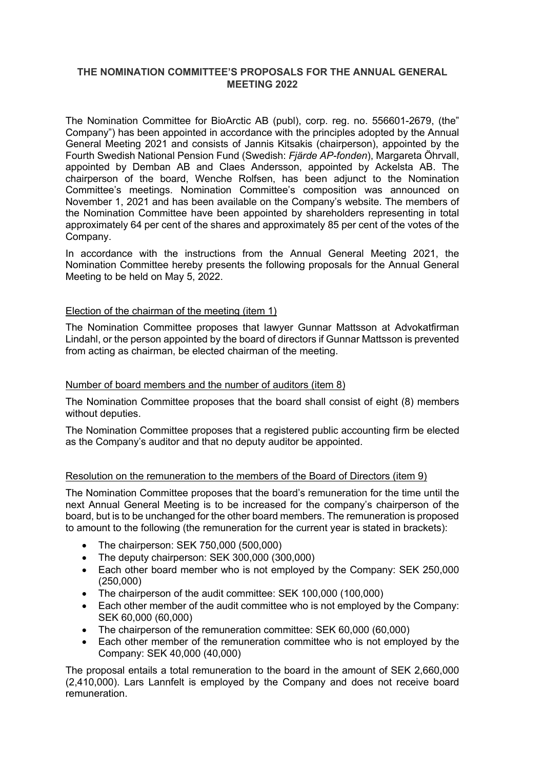# **THE NOMINATION COMMITTEE'S PROPOSALS FOR THE ANNUAL GENERAL MEETING 2022**

The Nomination Committee for BioArctic AB (publ), corp. reg. no. 556601-2679, (the" Company") has been appointed in accordance with the principles adopted by the Annual General Meeting 2021 and consists of Jannis Kitsakis (chairperson), appointed by the Fourth Swedish National Pension Fund (Swedish: *Fjärde AP-fonden*), Margareta Öhrvall, appointed by Demban AB and Claes Andersson, appointed by Ackelsta AB. The chairperson of the board, Wenche Rolfsen, has been adjunct to the Nomination Committee's meetings. Nomination Committee's composition was announced on November 1, 2021 and has been available on the Company's website. The members of the Nomination Committee have been appointed by shareholders representing in total approximately 64 per cent of the shares and approximately 85 per cent of the votes of the Company.

In accordance with the instructions from the Annual General Meeting 2021, the Nomination Committee hereby presents the following proposals for the Annual General Meeting to be held on May 5, 2022.

## Election of the chairman of the meeting (item 1)

The Nomination Committee proposes that lawyer Gunnar Mattsson at Advokatfirman Lindahl, or the person appointed by the board of directors if Gunnar Mattsson is prevented from acting as chairman, be elected chairman of the meeting.

#### Number of board members and the number of auditors (item 8)

The Nomination Committee proposes that the board shall consist of eight (8) members without deputies.

The Nomination Committee proposes that a registered public accounting firm be elected as the Company's auditor and that no deputy auditor be appointed.

# Resolution on the remuneration to the members of the Board of Directors (item 9)

The Nomination Committee proposes that the board's remuneration for the time until the next Annual General Meeting is to be increased for the company's chairperson of the board, but is to be unchanged for the other board members. The remuneration is proposed to amount to the following (the remuneration for the current year is stated in brackets):

- The chairperson: SEK 750,000 (500,000)
- The deputy chairperson: SEK 300,000 (300,000)
- Each other board member who is not employed by the Company: SEK 250,000 (250,000)
- The chairperson of the audit committee: SEK 100,000 (100,000)
- Each other member of the audit committee who is not employed by the Company: SEK 60,000 (60,000)
- The chairperson of the remuneration committee: SEK 60,000 (60,000)
- Each other member of the remuneration committee who is not employed by the Company: SEK 40,000 (40,000)

The proposal entails a total remuneration to the board in the amount of SEK 2,660,000 (2,410,000). Lars Lannfelt is employed by the Company and does not receive board remuneration.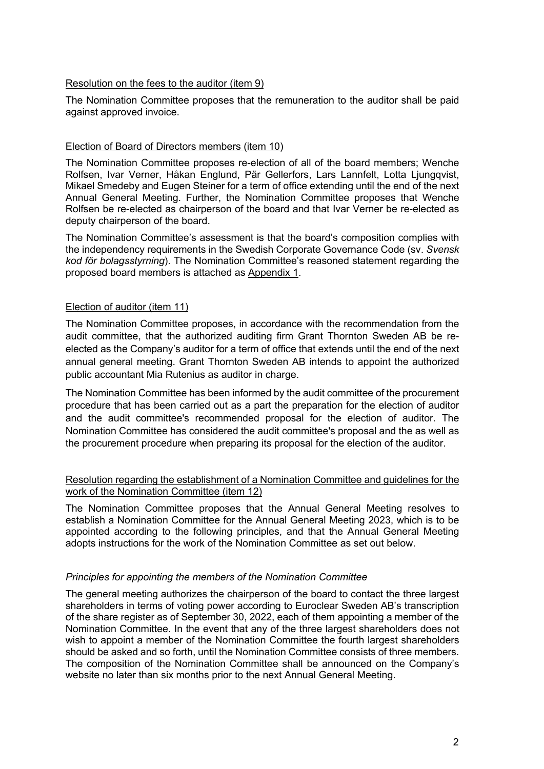# Resolution on the fees to the auditor (item 9)

The Nomination Committee proposes that the remuneration to the auditor shall be paid against approved invoice.

# Election of Board of Directors members (item 10)

The Nomination Committee proposes re-election of all of the board members; Wenche Rolfsen, Ivar Verner, Håkan Englund, Pär Gellerfors, Lars Lannfelt, Lotta Ljungqvist, Mikael Smedeby and Eugen Steiner for a term of office extending until the end of the next Annual General Meeting. Further, the Nomination Committee proposes that Wenche Rolfsen be re-elected as chairperson of the board and that Ivar Verner be re-elected as deputy chairperson of the board.

The Nomination Committee's assessment is that the board's composition complies with the independency requirements in the Swedish Corporate Governance Code (sv. *Svensk kod för bolagsstyrning*). The Nomination Committee's reasoned statement regarding the proposed board members is attached as Appendix 1.

# Election of auditor (item 11)

The Nomination Committee proposes, in accordance with the recommendation from the audit committee, that the authorized auditing firm Grant Thornton Sweden AB be reelected as the Company's auditor for a term of office that extends until the end of the next annual general meeting. Grant Thornton Sweden AB intends to appoint the authorized public accountant Mia Rutenius as auditor in charge.

The Nomination Committee has been informed by the audit committee of the procurement procedure that has been carried out as a part the preparation for the election of auditor and the audit committee's recommended proposal for the election of auditor. The Nomination Committee has considered the audit committee's proposal and the as well as the procurement procedure when preparing its proposal for the election of the auditor.

## Resolution regarding the establishment of a Nomination Committee and guidelines for the work of the Nomination Committee (item 12)

The Nomination Committee proposes that the Annual General Meeting resolves to establish a Nomination Committee for the Annual General Meeting 2023, which is to be appointed according to the following principles, and that the Annual General Meeting adopts instructions for the work of the Nomination Committee as set out below.

#### *Principles for appointing the members of the Nomination Committee*

The general meeting authorizes the chairperson of the board to contact the three largest shareholders in terms of voting power according to Euroclear Sweden AB's transcription of the share register as of September 30, 2022, each of them appointing a member of the Nomination Committee. In the event that any of the three largest shareholders does not wish to appoint a member of the Nomination Committee the fourth largest shareholders should be asked and so forth, until the Nomination Committee consists of three members. The composition of the Nomination Committee shall be announced on the Company's website no later than six months prior to the next Annual General Meeting.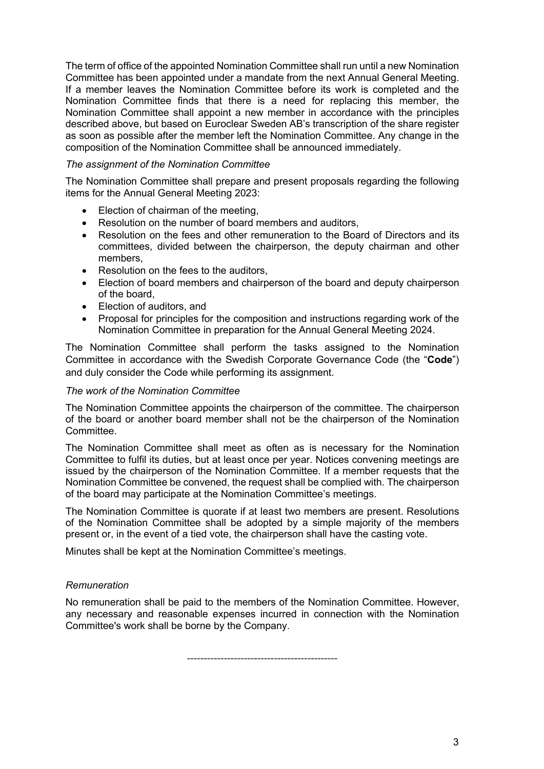The term of office of the appointed Nomination Committee shall run until a new Nomination Committee has been appointed under a mandate from the next Annual General Meeting. If a member leaves the Nomination Committee before its work is completed and the Nomination Committee finds that there is a need for replacing this member, the Nomination Committee shall appoint a new member in accordance with the principles described above, but based on Euroclear Sweden AB's transcription of the share register as soon as possible after the member left the Nomination Committee. Any change in the composition of the Nomination Committee shall be announced immediately.

## *The assignment of the Nomination Committee*

The Nomination Committee shall prepare and present proposals regarding the following items for the Annual General Meeting 2023:

- Election of chairman of the meeting,
- Resolution on the number of board members and auditors,
- Resolution on the fees and other remuneration to the Board of Directors and its committees, divided between the chairperson, the deputy chairman and other members,
- Resolution on the fees to the auditors,
- Election of board members and chairperson of the board and deputy chairperson of the board,
- Election of auditors, and
- Proposal for principles for the composition and instructions regarding work of the Nomination Committee in preparation for the Annual General Meeting 2024.

The Nomination Committee shall perform the tasks assigned to the Nomination Committee in accordance with the Swedish Corporate Governance Code (the "**Code**") and duly consider the Code while performing its assignment.

#### *The work of the Nomination Committee*

The Nomination Committee appoints the chairperson of the committee. The chairperson of the board or another board member shall not be the chairperson of the Nomination Committee.

The Nomination Committee shall meet as often as is necessary for the Nomination Committee to fulfil its duties, but at least once per year. Notices convening meetings are issued by the chairperson of the Nomination Committee. If a member requests that the Nomination Committee be convened, the request shall be complied with. The chairperson of the board may participate at the Nomination Committee's meetings.

The Nomination Committee is quorate if at least two members are present. Resolutions of the Nomination Committee shall be adopted by a simple majority of the members present or, in the event of a tied vote, the chairperson shall have the casting vote.

Minutes shall be kept at the Nomination Committee's meetings.

#### *Remuneration*

No remuneration shall be paid to the members of the Nomination Committee. However, any necessary and reasonable expenses incurred in connection with the Nomination Committee's work shall be borne by the Company.

---------------------------------------------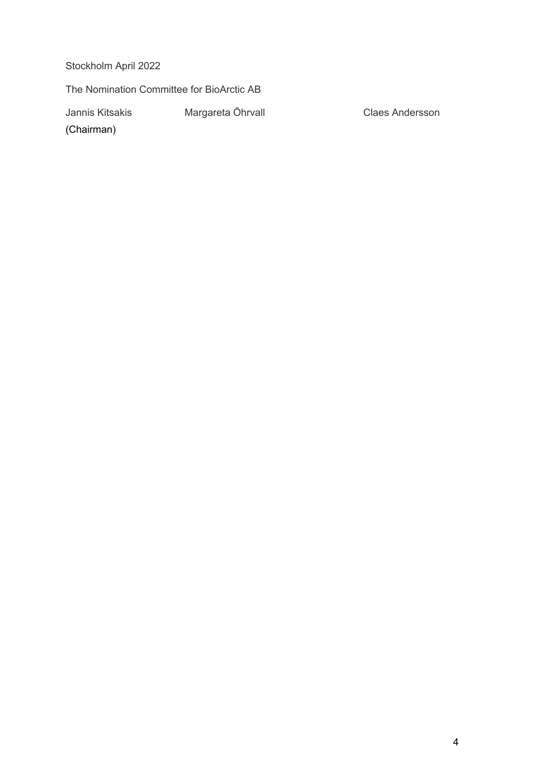Stockholm April 2022

The Nomination Committee for BioArctic AB

Jannis Kitsakis **Margareta Öhrvall** Claes Andersson

(Chairman)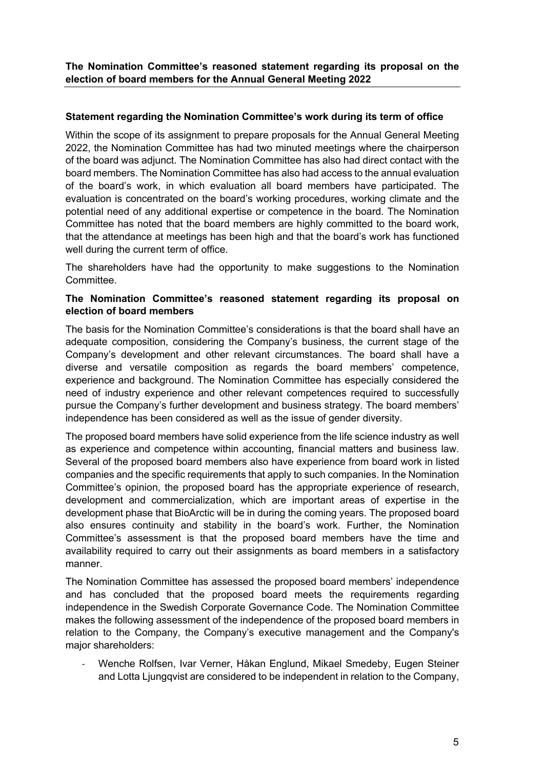**The Nomination Committee's reasoned statement regarding its proposal on the election of board members for the Annual General Meeting 2022**

# **Statement regarding the Nomination Committee's work during its term of office**

Within the scope of its assignment to prepare proposals for the Annual General Meeting 2022, the Nomination Committee has had two minuted meetings where the chairperson of the board was adjunct. The Nomination Committee has also had direct contact with the board members. The Nomination Committee has also had access to the annual evaluation of the board's work, in which evaluation all board members have participated. The evaluation is concentrated on the board's working procedures, working climate and the potential need of any additional expertise or competence in the board. The Nomination Committee has noted that the board members are highly committed to the board work, that the attendance at meetings has been high and that the board's work has functioned well during the current term of office.

The shareholders have had the opportunity to make suggestions to the Nomination Committee.

# **The Nomination Committee's reasoned statement regarding its proposal on election of board members**

The basis for the Nomination Committee's considerations is that the board shall have an adequate composition, considering the Company's business, the current stage of the Company's development and other relevant circumstances. The board shall have a diverse and versatile composition as regards the board members' competence, experience and background. The Nomination Committee has especially considered the need of industry experience and other relevant competences required to successfully pursue the Company's further development and business strategy. The board members' independence has been considered as well as the issue of gender diversity.

The proposed board members have solid experience from the life science industry as well as experience and competence within accounting, financial matters and business law. Several of the proposed board members also have experience from board work in listed companies and the specific requirements that apply to such companies. In the Nomination Committee's opinion, the proposed board has the appropriate experience of research, development and commercialization, which are important areas of expertise in the development phase that BioArctic will be in during the coming years. The proposed board also ensures continuity and stability in the board's work. Further, the Nomination Committee's assessment is that the proposed board members have the time and availability required to carry out their assignments as board members in a satisfactory manner.

The Nomination Committee has assessed the proposed board members' independence and has concluded that the proposed board meets the requirements regarding independence in the Swedish Corporate Governance Code. The Nomination Committee makes the following assessment of the independence of the proposed board members in relation to the Company, the Company's executive management and the Company's major shareholders:

Wenche Rolfsen, Ivar Verner, Håkan Englund, Mikael Smedeby, Eugen Steiner and Lotta Ljungqvist are considered to be independent in relation to the Company,